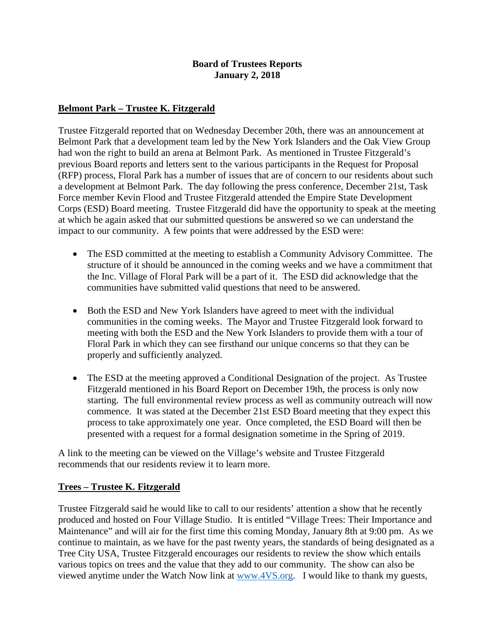#### **Board of Trustees Reports January 2, 2018**

#### **Belmont Park – Trustee K. Fitzgerald**

Trustee Fitzgerald reported that on Wednesday December 20th, there was an announcement at Belmont Park that a development team led by the New York Islanders and the Oak View Group had won the right to build an arena at Belmont Park. As mentioned in Trustee Fitzgerald's previous Board reports and letters sent to the various participants in the Request for Proposal (RFP) process, Floral Park has a number of issues that are of concern to our residents about such a development at Belmont Park. The day following the press conference, December 21st, Task Force member Kevin Flood and Trustee Fitzgerald attended the Empire State Development Corps (ESD) Board meeting. Trustee Fitzgerald did have the opportunity to speak at the meeting at which he again asked that our submitted questions be answered so we can understand the impact to our community. A few points that were addressed by the ESD were:

- The ESD committed at the meeting to establish a Community Advisory Committee. The structure of it should be announced in the coming weeks and we have a commitment that the Inc. Village of Floral Park will be a part of it. The ESD did acknowledge that the communities have submitted valid questions that need to be answered.
- Both the ESD and New York Islanders have agreed to meet with the individual communities in the coming weeks. The Mayor and Trustee Fitzgerald look forward to meeting with both the ESD and the New York Islanders to provide them with a tour of Floral Park in which they can see firsthand our unique concerns so that they can be properly and sufficiently analyzed.
- The ESD at the meeting approved a Conditional Designation of the project. As Trustee Fitzgerald mentioned in his Board Report on December 19th, the process is only now starting. The full environmental review process as well as community outreach will now commence. It was stated at the December 21st ESD Board meeting that they expect this process to take approximately one year. Once completed, the ESD Board will then be presented with a request for a formal designation sometime in the Spring of 2019.

A link to the meeting can be viewed on the Village's website and Trustee Fitzgerald recommends that our residents review it to learn more.

# **Trees – Trustee K. Fitzgerald**

Trustee Fitzgerald said he would like to call to our residents' attention a show that he recently produced and hosted on Four Village Studio. It is entitled "Village Trees: Their Importance and Maintenance" and will air for the first time this coming Monday, January 8th at 9:00 pm. As we continue to maintain, as we have for the past twenty years, the standards of being designated as a Tree City USA, Trustee Fitzgerald encourages our residents to review the show which entails various topics on trees and the value that they add to our community. The show can also be viewed anytime under the Watch Now link at [www.4VS.org.](http://www.4vs.org/) I would like to thank my guests,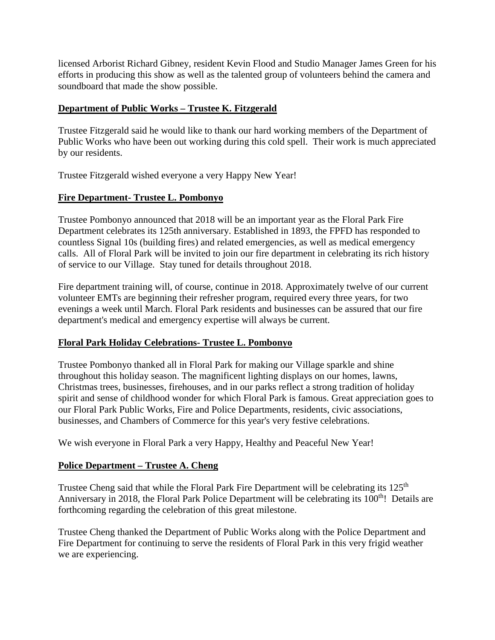licensed Arborist Richard Gibney, resident Kevin Flood and Studio Manager James Green for his efforts in producing this show as well as the talented group of volunteers behind the camera and soundboard that made the show possible.

# **Department of Public Works – Trustee K. Fitzgerald**

Trustee Fitzgerald said he would like to thank our hard working members of the Department of Public Works who have been out working during this cold spell. Their work is much appreciated by our residents.

Trustee Fitzgerald wished everyone a very Happy New Year!

# **Fire Department- Trustee L. Pombonyo**

Trustee Pombonyo announced that 2018 will be an important year as the Floral Park Fire Department celebrates its 125th anniversary. Established in 1893, the FPFD has responded to countless Signal 10s (building fires) and related emergencies, as well as medical emergency calls. All of Floral Park will be invited to join our fire department in celebrating its rich history of service to our Village. Stay tuned for details throughout 2018.

Fire department training will, of course, continue in 2018. Approximately twelve of our current volunteer EMTs are beginning their refresher program, required every three years, for two evenings a week until March. Floral Park residents and businesses can be assured that our fire department's medical and emergency expertise will always be current.

# **Floral Park Holiday Celebrations- Trustee L. Pombonyo**

Trustee Pombonyo thanked all in Floral Park for making our Village sparkle and shine throughout this holiday season. The magnificent lighting displays on our homes, lawns, Christmas trees, businesses, firehouses, and in our parks reflect a strong tradition of holiday spirit and sense of childhood wonder for which Floral Park is famous. Great appreciation goes to our Floral Park Public Works, Fire and Police Departments, residents, civic associations, businesses, and Chambers of Commerce for this year's very festive celebrations.

We wish everyone in Floral Park a very Happy, Healthy and Peaceful New Year!

# **Police Department – Trustee A. Cheng**

Trustee Cheng said that while the Floral Park Fire Department will be celebrating its 125<sup>th</sup> Anniversary in 2018, the Floral Park Police Department will be celebrating its 100<sup>th</sup>! Details are forthcoming regarding the celebration of this great milestone.

Trustee Cheng thanked the Department of Public Works along with the Police Department and Fire Department for continuing to serve the residents of Floral Park in this very frigid weather we are experiencing.